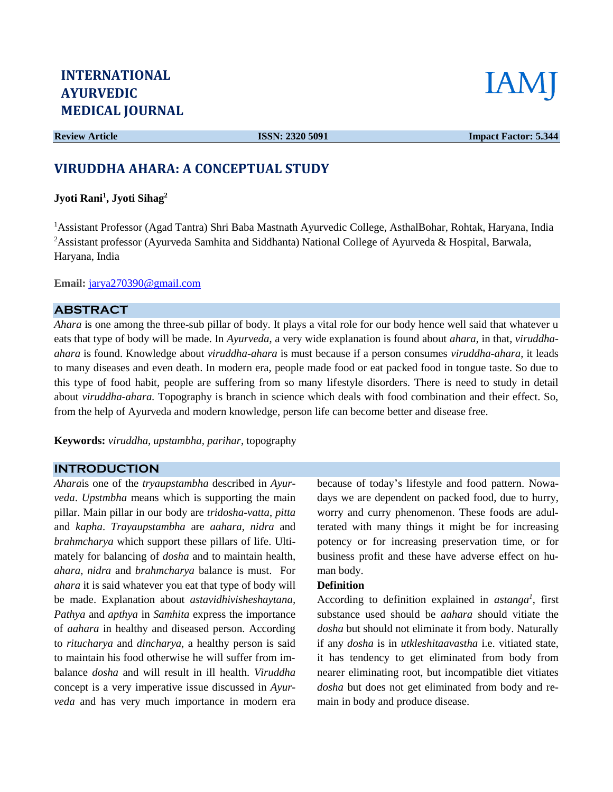

**Review Article ISSN: 2320 5091** Impact Factor: 5.344

# **VIRUDDHA AHARA: A CONCEPTUAL STUDY**

**Jyoti Rani<sup>1</sup> , Jyoti Sihag<sup>2</sup>**

<sup>1</sup>Assistant Professor (Agad Tantra) Shri Baba Mastnath Ayurvedic College, AsthalBohar, Rohtak, Haryana, India <sup>2</sup>Assistant professor (Ayurveda Samhita and Siddhanta) National College of Ayurveda & Hospital, Barwala, Haryana, India

**Email:** [jarya270390@gmail.com](mailto:jarya270390@gmail.com)

#### **ABSTRACT**

*Ahara* is one among the three-sub pillar of body. It plays a vital role for our body hence well said that whatever u eats that type of body will be made. In *Ayurveda*, a very wide explanation is found about *ahara*, in that, *viruddhaahara* is found. Knowledge about *viruddha-ahara* is must because if a person consumes *viruddha-ahara*, it leads to many diseases and even death. In modern era, people made food or eat packed food in tongue taste. So due to this type of food habit, people are suffering from so many lifestyle disorders. There is need to study in detail about *viruddha-ahara.* Topography is branch in science which deals with food combination and their effect. So, from the help of Ayurveda and modern knowledge, person life can become better and disease free.

**Keywords:** *viruddha, upstambha, parihar*, topography

#### **INTRODUCTION**

*Ahara*is one of the *tryaupstambha* described in *Ayurveda*. *Upstmbha* means which is supporting the main pillar. Main pillar in our body are *tridosha*-*vatta*, *pitta* and *kapha*. *Trayaupstambha* are *aahara*, *nidra* and *brahmcharya* which support these pillars of life. Ultimately for balancing of *dosha* and to maintain health, *ahara, nidra* and *brahmcharya* balance is must. For *ahara* it is said whatever you eat that type of body will be made. Explanation about *astavidhivisheshaytana, Pathya* and *apthya* in *Samhita* express the importance of *aahara* in healthy and diseased person. According to *ritucharya* and *dincharya*, a healthy person is said to maintain his food otherwise he will suffer from imbalance *dosha* and will result in ill health. *Viruddha* concept is a very imperative issue discussed in *Ayurveda* and has very much importance in modern era because of today's lifestyle and food pattern. Nowadays we are dependent on packed food, due to hurry, worry and curry phenomenon. These foods are adulterated with many things it might be for increasing potency or for increasing preservation time, or for business profit and these have adverse effect on human body.

#### **Definition**

According to definition explained in *astanga<sup>1</sup>* , first substance used should be *aahara* should vitiate the *dosha* but should not eliminate it from body. Naturally if any *dosha* is in *utkleshitaavastha* i.e. vitiated state, it has tendency to get eliminated from body from nearer eliminating root, but incompatible diet vitiates *dosha* but does not get eliminated from body and remain in body and produce disease.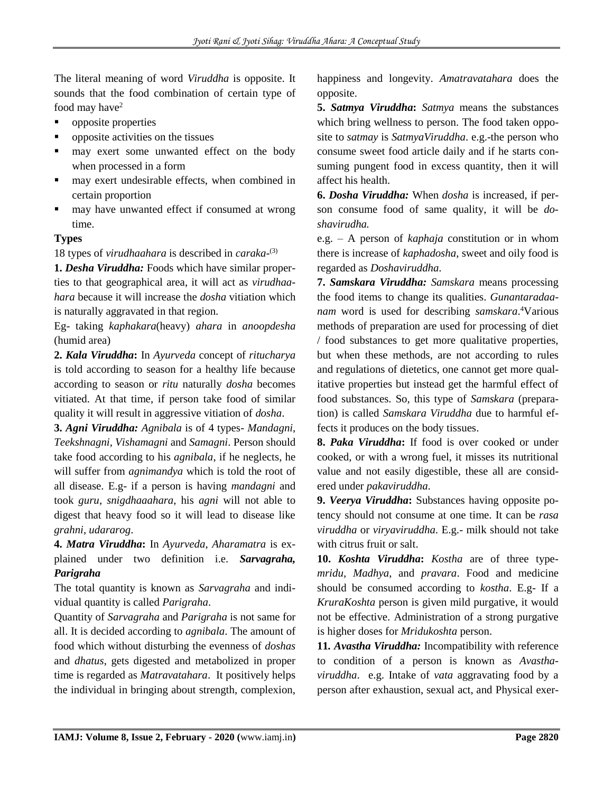The literal meaning of word *Viruddha* is opposite. It sounds that the food combination of certain type of food may have $2$ 

- opposite properties
- opposite activities on the tissues
- may exert some unwanted effect on the body when processed in a form
- may exert undesirable effects, when combined in certain proportion
- may have unwanted effect if consumed at wrong time.

## **Types**

18 types of *virudhaahara* is described in *caraka*- (3)

**1.** *Desha Viruddha:* Foods which have similar properties to that geographical area, it will act as *virudhaahara* because it will increase the *dosha* vitiation which is naturally aggravated in that region.

Eg- taking *kaphakara*(heavy) *ahara* in *anoopdesha* (humid area)

**2.** *Kala Viruddha***:** In *Ayurveda* concept of *ritucharya* is told according to season for a healthy life because according to season or *ritu* naturally *dosha* becomes vitiated. At that time, if person take food of similar quality it will result in aggressive vitiation of *dosha*.

**3.** *Agni Viruddha: Agnibala* is of 4 types- *Mandagni*, *Teekshnagni*, *Vishamagni* and *Samagni*. Person should take food according to his *agnibala*, if he neglects, he will suffer from *agnimandya* which is told the root of all disease. E.g- if a person is having *mandagni* and took *guru*, *snigdhaaahara*, his *agni* will not able to digest that heavy food so it will lead to disease like *grahni*, *udararog*.

**4.** *Matra Viruddha***:** In *Ayurveda*, *Aharamatra* is explained under two definition i.e. *Sarvagraha, Parigraha*

The total quantity is known as *Sarvagraha* and individual quantity is called *Parigraha*.

Quantity of *Sarvagraha* and *Parigraha* is not same for all. It is decided according to *agnibala*. The amount of food which without disturbing the evenness of *doshas* and *dhatus*, gets digested and metabolized in proper time is regarded as *Matravatahara*. It positively helps the individual in bringing about strength, complexion,

happiness and longevity. *Amatravatahara* does the opposite.

**5.** *Satmya Viruddha***:** *Satmya* means the substances which bring wellness to person. The food taken opposite to *satmay* is *SatmyaViruddha*. e.g.-the person who consume sweet food article daily and if he starts consuming pungent food in excess quantity, then it will affect his health.

**6.** *Dosha Viruddha:* When *dosha* is increased, if person consume food of same quality, it will be *doshavirudha.*

e.g. – A person of *kaphaja* constitution or in whom there is increase of *kaphadosha*, sweet and oily food is regarded as *Doshaviruddha*.

**7.** *Samskara Viruddha: Samskara* means processing the food items to change its qualities. *Gunantaradaanam* word is used for describing *samskara*. <sup>4</sup>Various methods of preparation are used for processing of diet / food substances to get more qualitative properties, but when these methods, are not according to rules and regulations of dietetics, one cannot get more qualitative properties but instead get the harmful effect of food substances. So, this type of *Samskara* (preparation) is called *Samskara Viruddha* due to harmful effects it produces on the body tissues.

**8.** *Paka Viruddha***:** If food is over cooked or under cooked, or with a wrong fuel, it misses its nutritional value and not easily digestible, these all are considered under *pakaviruddha*.

**9.** *Veerya Viruddha***:** Substances having opposite potency should not consume at one time. It can be *rasa viruddha* or *viryaviruddha*. E.g.- milk should not take with citrus fruit or salt.

**10.** *Koshta Viruddha***:** *Kostha* are of three type*mridu, Madhya*, and *pravara*. Food and medicine should be consumed according to *kostha*. E.g- If a *KruraKoshta* person is given mild purgative, it would not be effective. Administration of a strong purgative is higher doses for *Mridukoshta* person.

**11***. Avastha Viruddha:* Incompatibility with reference to condition of a person is known as *Avasthaviruddha*. e.g. Intake of *vata* aggravating food by a person after exhaustion, sexual act, and Physical exer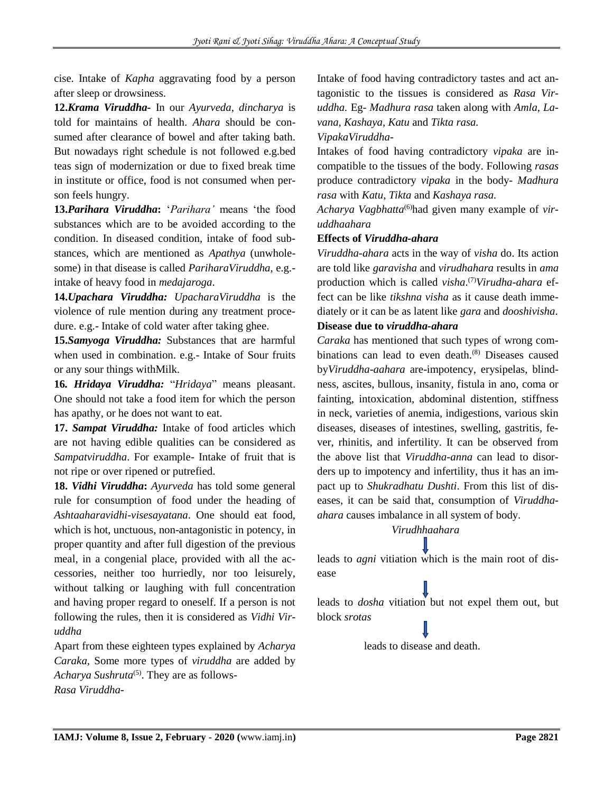cise. Intake of *Kapha* aggravating food by a person after sleep or drowsiness.

**12.***Krama Viruddha-* In our *Ayurveda*, *dincharya* is told for maintains of health. *Ahara* should be consumed after clearance of bowel and after taking bath. But nowadays right schedule is not followed e.g.bed teas sign of modernization or due to fixed break time in institute or office, food is not consumed when person feels hungry.

**13.***Parihara Viruddha***:** '*Parihara'* means 'the food substances which are to be avoided according to the condition. In diseased condition, intake of food substances, which are mentioned as *Apathya* (unwholesome) in that disease is called *PariharaViruddha*, e.g. intake of heavy food in *medajaroga*.

**14.***Upachara Viruddha: UpacharaViruddha* is the violence of rule mention during any treatment procedure. e.g.- Intake of cold water after taking ghee.

**15.***Samyoga Viruddha:* Substances that are harmful when used in combination. e.g.- Intake of Sour fruits or any sour things withMilk.

**16***. Hridaya Viruddha:* "*Hridaya*" means pleasant. One should not take a food item for which the person has apathy, or he does not want to eat.

**17.** *Sampat Viruddha:* Intake of food articles which are not having edible qualities can be considered as *Sampatviruddha*. For example- Intake of fruit that is not ripe or over ripened or putrefied.

**18.** *Vidhi Viruddha***:** *Ayurveda* has told some general rule for consumption of food under the heading of *Ashtaaharavidhi-visesayatana*. One should eat food, which is hot, unctuous, non-antagonistic in potency, in proper quantity and after full digestion of the previous meal, in a congenial place, provided with all the accessories, neither too hurriedly, nor too leisurely, without talking or laughing with full concentration and having proper regard to oneself. If a person is not following the rules, then it is considered as *Vidhi Viruddha*

Apart from these eighteen types explained by *Acharya Caraka,* Some more types of *viruddha* are added by Acharya Sushruta<sup>(5)</sup>. They are as follows-*Rasa Viruddha-*

Intake of food having contradictory tastes and act antagonistic to the tissues is considered as *Rasa Viruddha.* Eg- *Madhura rasa* taken along with *Amla, Lavana, Kashaya, Katu* and *Tikta rasa.*

### *VipakaViruddha-*

Intakes of food having contradictory *vipaka* are incompatible to the tissues of the body. Following *rasas* produce contradictory *vipaka* in the body- *Madhura rasa* with *Katu*, *Tikta* and *Kashaya rasa.*

*Acharya Vagbhatta*(6)had given many example of *viruddhaahara*

### **Effects of** *Viruddha-ahara*

*Viruddha-ahara* acts in the way of *visha* do. Its action are told like *garavisha* and *virudhahara* results in *ama* production which is called *visha*.<sup>(7)</sup>*Virudha-ahara* effect can be like *tikshna visha* as it cause death immediately or it can be as latent like *gara* and *dooshivisha*.

### **Disease due to** *viruddha-ahara*

*Caraka* has mentioned that such types of wrong combinations can lead to even death.<sup>(8)</sup> Diseases caused by*Viruddha-aahara* are-impotency, erysipelas, blindness, ascites, bullous, insanity, fistula in ano, coma or fainting, intoxication, abdominal distention, stiffness in neck, varieties of anemia, indigestions, various skin diseases, diseases of intestines, swelling, gastritis, fever, rhinitis, and infertility. It can be observed from the above list that *Viruddha-anna* can lead to disorders up to impotency and infertility, thus it has an impact up to *Shukradhatu Dushti*. From this list of diseases, it can be said that, consumption of *Viruddhaahara* causes imbalance in all system of body.

### *Virudhhaahara*

leads to *agni* vitiation which is the main root of disease

leads to *dosha* vitiation but not expel them out, but block *srotas*

leads to disease and death.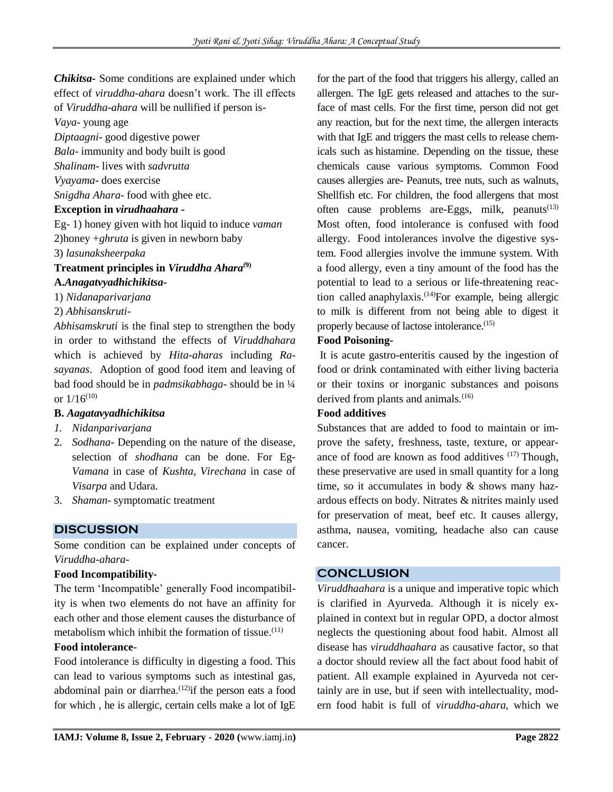*Chikitsa-* Some conditions are explained under which effect of *viruddha-ahara* doesn't work. The ill effects of *Viruddha-ahara* will be nullified if person is-

*Vaya*- young age

*Diptaagni*- good digestive power

*Bala*- immunity and body built is good

*Shalinam*- lives with *sadvrutta*

*Vyayama*- does exercise

*Snigdha Ahara*- food with ghee etc.

### **Exception in** *virudhaahara* **-**

Eg- 1) honey given with hot liquid to induce *vaman* 2)honey +*ghruta* is given in newborn baby

3) *lasunaksheerpaka*

**Treatment principles in** *Viruddha Ahara(***9) A.***Anagatvyadhichikitsa-*

1) *Nidanaparivarjana*

2) *Abhisanskruti*-

*Abhisamskruti* is the final step to strengthen the body in order to withstand the effects of *Viruddhahara* which is achieved by *Hita-aharas* including *Rasayanas*. Adoption of good food item and leaving of bad food should be in *padmsikabhaga*- should be in ¼ or  $1/16^{(10)}$ 

## **B.** *Aagatavyadhichikitsa*

*1. Nidanparivarjana*

- 2. *Sodhana* Depending on the nature of the disease, selection of *shodhana* can be done. For Eg-*Vamana* in case of *Kushta*, *Virechana* in case of *Visarpa* and Udara.
- 3. *Shaman* symptomatic treatment

## **DISCUSSION**

Some condition can be explained under concepts of *Viruddha-ahara*-

### **Food Incompatibility-**

The term 'Incompatible' generally Food incompatibility is when two elements do not have an affinity for each other and those element causes the disturbance of metabolism which inhibit the formation of tissue.<sup>(11)</sup>

### **Food intolerance**-

Food intolerance is difficulty in digesting a food. This can lead to various symptoms such as intestinal gas, abdominal pain or diarrhea.<sup>(12)</sup>if the person eats a food for which , he is allergic, certain cells make a lot of IgE for the part of the food that triggers his allergy, called an allergen. The IgE gets released and attaches to the surface of mast cells. For the first time, person did not get any reaction, but for the next time, the allergen interacts with that IgE and triggers the mast cells to release chemicals such as [histamine.](https://www.webmd.com/allergies/what-are-histamines) Depending on the tissue, these chemicals cause various symptoms. Common Food causes allergies are- Peanuts, tree nuts, such as walnuts, Shellfish etc. For children, the food allergens that most often cause problems are[-Eggs,](https://www.webmd.com/food-recipes/ss/slideshow-eggs-6-ways) milk, peanuts $^{(13)}$ Most often, food intolerance is confused with [food](https://www.aaaai.org/conditions-and-treatments/allergies/food-allergies.aspx)  [allergy.](https://www.aaaai.org/conditions-and-treatments/allergies/food-allergies.aspx) Food intolerances involve the digestive system. Food allergies involve the immune system. With a food allergy, even a tiny amount of the food has the potential to lead to a serious or life-threatening reaction called [anaphylaxis.](https://www.aaaai.org/conditions-and-treatments/allergies/anaphylaxis.aspx)<sup>(14)</sup>For example, being allergic to milk is different from not being able to digest it properly because of [lactose intolerance.](https://www.webmd.com/digestive-disorders/digestive-diseases-lactose-intolerance) (15)

### **Food Poisoning-**

It is acute gastro-enteritis caused by the ingestion of food or drink contaminated with either living bacteria or their toxins or inorganic substances and poisons derived from plants and animals.<sup>(16)</sup>

### **Food additives**

Substances that are added to food to maintain or improve the safety, freshness, taste, texture, or appearance of food are known as food additives (17) Though, these preservative are used in small quantity for a long time, so it accumulates in body & shows many hazardous effects on body. Nitrates & nitrites mainly used for preservation of meat, beef etc. It causes allergy, asthma, nausea, vomiting, headache also can cause cancer.

## **CONCLUSION**

*Viruddhaahara* is a unique and imperative topic which is clarified in Ayurveda. Although it is nicely explained in context but in regular OPD, a doctor almost neglects the questioning about food habit. Almost all disease has *viruddhaahara* as causative factor, so that a doctor should review all the fact about food habit of patient. All example explained in Ayurveda not certainly are in use, but if seen with intellectuality, modern food habit is full of *viruddha-ahara*, which we